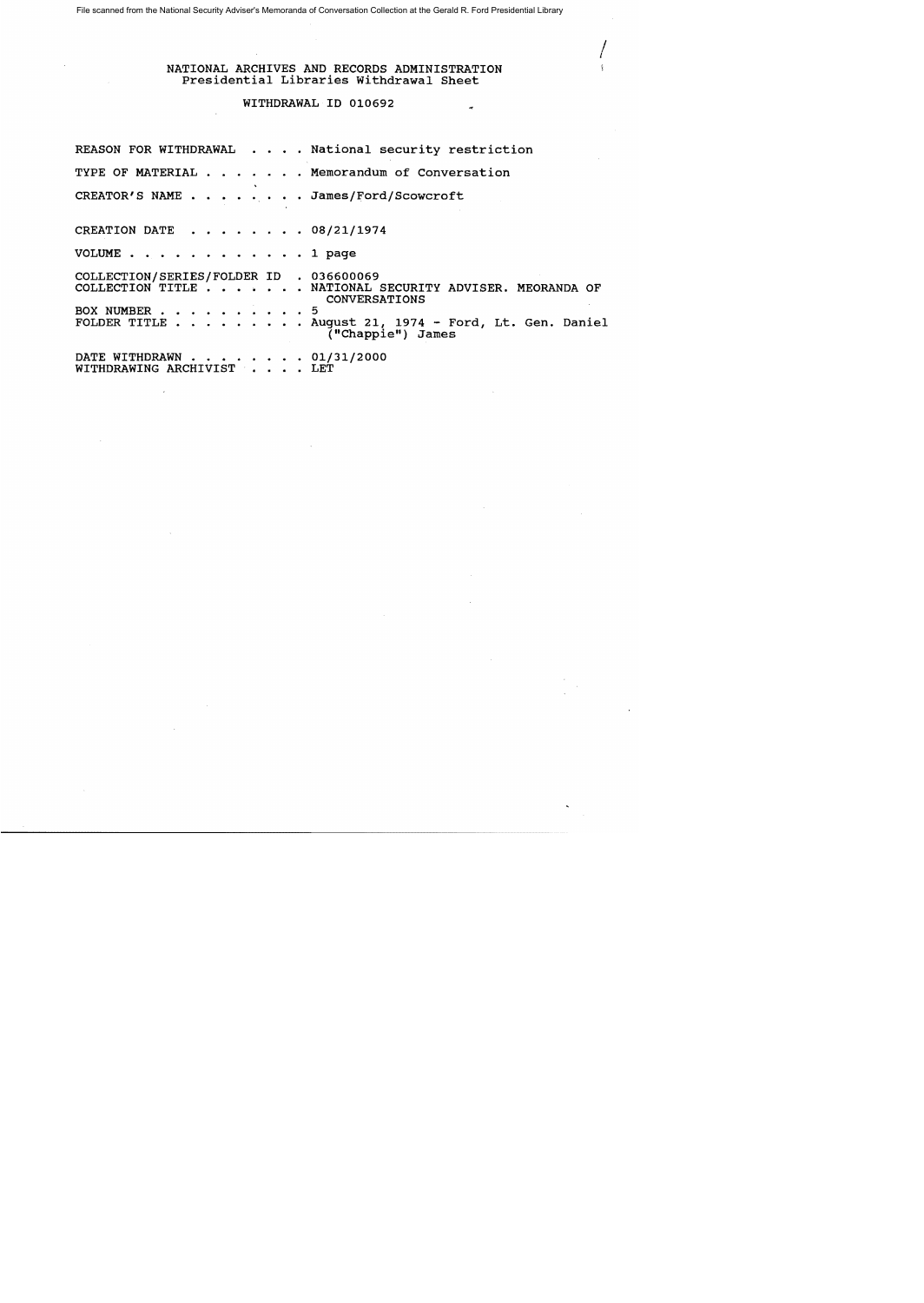File scanned from the National Security Adviser's Memoranda of Conversation Collection at the Gerald R. Ford Presidential Library

NATIONAL ARCHIVES AND RECORDS ADMINISTRATION Presidential Libraries withdrawal Sheet

/

## WITHDRAWAL ID 010692

REASON FOR WITHDRAWAL . . . . National security restriction TYPE OF MATERIAL . . . . . . Memorandum of Conversation CREATOR'S NAME . . . . . . . James/Ford/Scowcroft CREATION DATE  $\cdot \cdot \cdot \cdot \cdot \cdot \cdot 08/21/1974$ VOLUME . . . . . . . . . . . . 1 page COLLECTION/SERIES/FOLDER ID . 036600069 COLLECTION TITLE . . . . . . • NATIONAL SECURITY ADVISER. MEORANDA OF CONVERSATIONS BOX NUMBER . . · . • • • 5  $\sim$   $\sim$   $\sim$ · . • • . August 21, 1974 - Ford, Lt. Gen. Daniel FOLDER TITLE . . . . . . ("Chappie") James DATE WITHDRAWN . . . . . . . . 01/31/2000<br>WITHDRAWING ARCHIVIST . . . . LET WITHDRAWING ARCHIVIST . . .